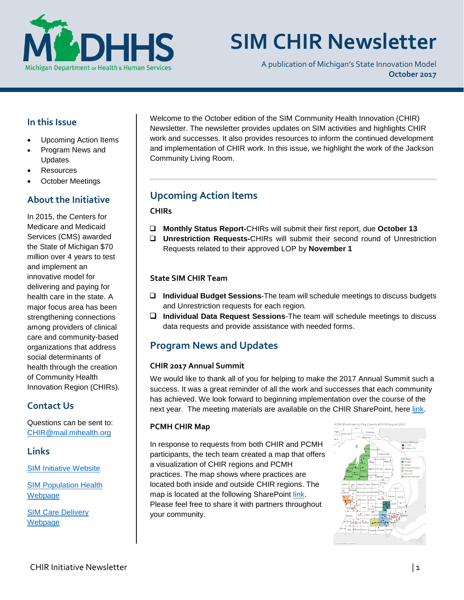

# **SIM CHIR Newsletter**

A publication of Michigan's State Innovation Model **October 2017**

## **In this Issue**

- Upcoming Action Items
- Program News and Updates
- **Resources**
- October Meetings

## **About the Initiative**

In 2015, the Centers for Medicare and Medicaid Services (CMS) awarded the State of Michigan \$70 million over 4 years to test and implement an innovative model for delivering and paying for health care in the state. A major focus area has been strengthening connections among providers of clinical care and community-based organizations that address social determinants of health through the creation of Community Health Innovation Region (CHIRs).

# **Contact Us**

Questions can be sent to: [CHIR@mail.mihealth.org](mailto:CHIR@mail.mihealth.org)

**Links**

[SIM Initiative Website](http://www.michigan.gov/mdhhs/0,5885,7-339-71551_2945_64491---,00.html)

[SIM Population Health](http://www.michigan.gov/mdhhs/0,5885,7-339-71551_2945_64491_76092_77453---,00.html)  [Webp](http://www.michigan.gov/mdhhs/0,5885,7-339-71551_2945_64491_76092_77453---,00.html)age

SIM [Care Delivery](http://www.michigan.gov/mdhhs/0,5885,7-339-71551_2945_64491_76092_77452---,00.html)  [Webpage](http://www.michigan.gov/mdhhs/0,5885,7-339-71551_2945_64491_76092_77452---,00.html)

Welcome to the October edition of the SIM Community Health Innovation (CHIR) Newsletter. The newsletter provides updates on SIM activities and highlights CHIR work and successes. It also provides resources to inform the continued development and implementation of CHIR work. In this issue, we highlight the work of the Jackson Community Living Room.

# **Upcoming Action Items**

#### **CHIRs**

- **Monthly Status Report-**CHIRs will submit their first report, due **October 13**
- **Unrestriction Requests-**CHIRs will submit their second round of Unrestriction Requests related to their approved LOP by **November 1**

#### **State SIM CHIR Team**

- **Individual Budget Sessions**-The team will schedule meetings to discuss budgets and Unrestriction requests for each region.
- **Individual Data Request Sessions**-The team will schedule meetings to discuss data requests and provide assistance with needed forms.

# **Program News and Updates**

#### **CHIR 2017 Annual Summit**

We would like to thank all of you for helping to make the 2017 Annual Summit such a success. It was a great reminder of all the work and successes that each community has achieved. We look forward to beginning implementation over the course of the next year. The meeting materials are available on the CHIR SharePoint, here [link.](https://stateofmichigan.sharepoint.com/teams/dhhs/bic/msacss/SIM/All%20CHIRs/Forms/AllItems.aspx?id=%2Fteams%2Fdhhs%2Fbic%2Fmsacss%2FSIM%2FAll%20CHIRs%2FResources%2FPresentations%2F2017%20CHIR%20Summit%20Materials)

#### **PCMH CHIR Map**

In response to requests from both CHIR and PCMH participants, the tech team created a map that offers a visualization of CHIR regions and PCMH practices. The map shows where practices are located both inside and outside CHIR regions. The map is located at the following SharePoint [link.](https://stateofmichigan.sharepoint.com/teams/dhhs/bic/msacss/SIM/_layouts/15/Lightbox.aspx?url=https%3A%2F%2Fstateofmichigan.sharepoint.com%2Fteams%2Fdhhs%2Fbic%2Fmsacss%2FSIM%2FAll%20CHIRs%2FResources%2FMiscellaneous%2FPCMH_Practices_City_County_CHIR.PNG) Please feel free to share it with partners throughout your community.

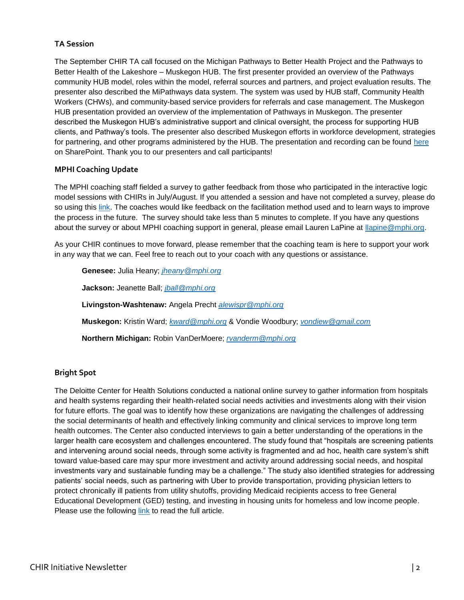#### **TA Session**

The September CHIR TA call focused on the Michigan Pathways to Better Health Project and the Pathways to Better Health of the Lakeshore – Muskegon HUB. The first presenter provided an overview of the Pathways community HUB model, roles within the model, referral sources and partners, and project evaluation results. The presenter also described the MiPathways data system. The system was used by HUB staff, Community Health Workers (CHWs), and community-based service providers for referrals and case management. The Muskegon HUB presentation provided an overview of the implementation of Pathways in Muskegon. The presenter described the Muskegon HUB's administrative support and clinical oversight, the process for supporting HUB clients, and Pathway's tools. The presenter also described Muskegon efforts in workforce development, strategies for partnering, and other programs administered by the HUB. The presentation and recording can be found [here](https://stateofmichigan.sharepoint.com/teams/dhhs/bic/msacss/SIM/SitePages/CHIR.aspx?RootFolder=%2Fteams%2Fdhhs%2Fbic%2Fmsacss%2FSIM%2FAll%20CHIRs%2FResources%2FPresentations%2FTA%20Presentation_Pathways_20170926&FolderCTID=0x0120003B7FB0DED59A0048B73B1354F317721B&View=%7BA4E78E70-1B73-4B6E-A329-EA7AE81B4134%7D) on SharePoint. Thank you to our presenters and call participants!

#### **MPHI Coaching Update**

The MPHI coaching staff fielded a survey to gather feedback from those who participated in the interactive logic model sessions with CHIRs in July/August. If you attended a session and have not completed a survey, please do so using this [link.](https://qaz1.az1.qualtrics.com/jfe/form/SV_2n3APwuPYMhi2mV) The coaches would like feedback on the facilitation method used and to learn ways to improve the process in the future. The survey should take less than 5 minutes to complete. If you have any questions about the survey or about MPHI coaching support in general, please email Lauren LaPine at [llapine@mphi.org.](mailto:llapine@mphi.org)

As your CHIR continues to move forward, please remember that the coaching team is here to support your work in any way that we can. Feel free to reach out to your coach with any questions or assistance.

**Genesee:** Julia Heany; *[jheany@mphi.org](mailto:jheany@mphi.org)* **Jackson:** Jeanette Ball; *[jball@mphi.org](mailto:jball@mphi.org)* **Livingston-Washtenaw:** Angela Precht *[alewispr@mphi.org](mailto:alewispr@mphi.org)* **Muskegon:** Kristin Ward; *[kward@mphi.org](mailto:kward@mphi.org)* & Vondie Woodbury; *[vondiew@gmail.com](mailto:vondiew@gmail.com)* **Northern Michigan:** Robin VanDerMoere; *[rvanderm@mphi.org](mailto:rvanderm@mphi.org)*

#### **Bright Spot**

The Deloitte Center for Health Solutions conducted a national online survey to gather information from hospitals and health systems regarding their health-related social needs activities and investments along with their vision for future efforts. The goal was to identify how these organizations are navigating the challenges of addressing the social determinants of health and effectively linking community and clinical services to improve long term health outcomes. The Center also conducted interviews to gain a better understanding of the operations in the larger health care ecosystem and challenges encountered. The study found that "hospitals are screening patients and intervening around social needs, through some activity is fragmented and ad hoc, health care system's shift toward value-based care may spur more investment and activity around addressing social needs, and hospital investments vary and sustainable funding may be a challenge." The study also identified strategies for addressing patients' social needs, such as partnering with Uber to provide transportation, providing physician letters to protect chronically ill patients from utility shutoffs, providing Medicaid recipients access to free General Educational Development (GED) testing, and investing in housing units for homeless and low income people. Please use the following [link](https://www2.deloitte.com/content/dam/Deloitte/us/Documents/life-sciences-health-care/us-lshc-addressing-social-determinants-of-health.pdf) to read the full article.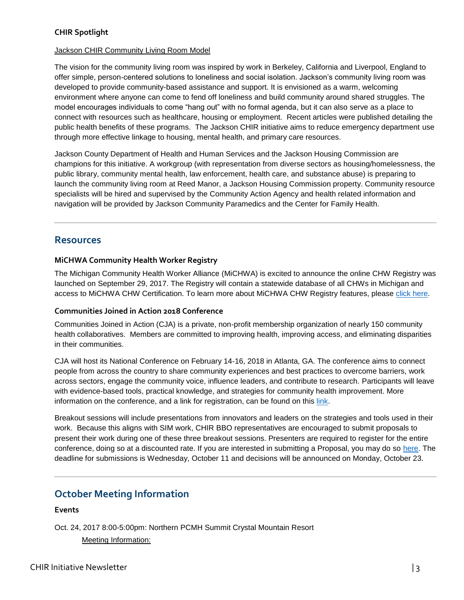#### **CHIR Spotlight**

#### Jackson CHIR Community Living Room Model

The vision for the community living room was inspired by work in Berkeley, California and Liverpool, England to offer simple, person-centered solutions to loneliness and social isolation. Jackson's community living room was developed to provide community-based assistance and support. It is envisioned as a warm, welcoming environment where anyone can come to fend off loneliness and build community around shared struggles. The model encourages individuals to come "hang out" with no formal agenda, but it can also serve as a place to connect with resources such as healthcare, housing or employment. Recent articles were published detailing the public health benefits of these programs. The Jackson CHIR initiative aims to reduce emergency department use through more effective linkage to housing, mental health, and primary care resources.

Jackson County Department of Health and Human Services and the Jackson Housing Commission are champions for this initiative. A workgroup (with representation from diverse sectors as housing/homelessness, the public library, community mental health, law enforcement, health care, and substance abuse) is preparing to launch the community living room at Reed Manor, a Jackson Housing Commission property. Community resource specialists will be hired and supervised by the Community Action Agency and health related information and navigation will be provided by Jackson Community Paramedics and the Center for Family Health.

## **Resources**

#### **MiCHWA Community Health Worker Registry**

The Michigan Community Health Worker Alliance (MiCHWA) is excited to announce the online CHW Registry was launched on September 29, 2017. The Registry will contain a statewide database of all CHWs in Michigan and access to MiCHWA CHW Certification. To learn more about MiCHWA CHW Registry features, please [click here.](http://www.michwa.org/michwa-chw-registry/)

#### **Communities Joined in Action 2018 Conference**

Communities Joined in Action (CJA) is a private, non-profit membership organization of nearly 150 community health collaboratives. Members are committed to improving health, improving access, and eliminating disparities in their communities.

CJA will host its National Conference on February 14-16, 2018 in Atlanta, GA. The conference aims to connect people from across the country to share community experiences and best practices to overcome barriers, work across sectors, engage the community voice, influence leaders, and contribute to research. Participants will leave with evidence-based tools, practical knowledge, and strategies for community health improvement. More information on the conference, and a link for registration, can be found on this [link.](http://www.cjaonline.net/2018-conference/)

Breakout sessions will include presentations from innovators and leaders on the strategies and tools used in their work. Because this aligns with SIM work, CHIR BBO representatives are encouraged to submit proposals to present their work during one of these three breakout sessions. Presenters are required to register for the entire conference, doing so at a discounted rate. If you are interested in submitting a Proposal, you may do so [here.](https://aysps.wufoo.com/forms/kra8ycd1mdyblc/) The deadline for submissions is Wednesday, October 11 and decisions will be announced on Monday, October 23.

# **October Meeting Information**

#### **Events**

Oct. 24, 2017 8:00-5:00pm: Northern PCMH Summit Crystal Mountain Resort Meeting Information: